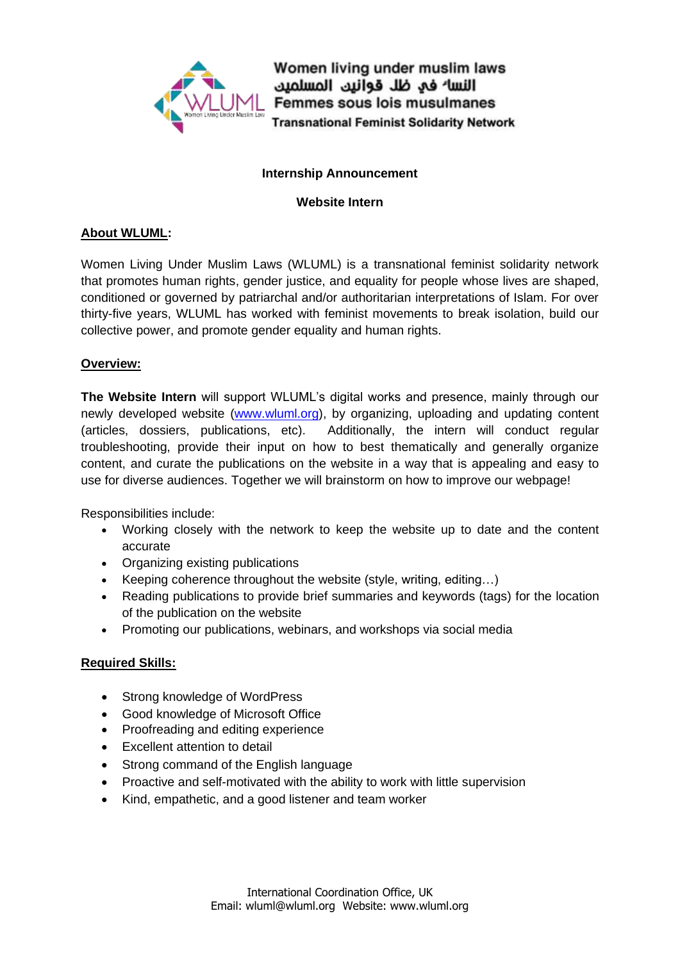

Women living under muslim laws النسا<sup>ء</sup> في ظل قوانين المسلمين Femmes sous lois musulmanes **Transnational Feminist Solidarity Network** 

#### **Internship Announcement**

#### **Website Intern**

# **About WLUML:**

Women Living Under Muslim Laws (WLUML) is a transnational feminist solidarity network that promotes human rights, gender justice, and equality for people whose lives are shaped, conditioned or governed by patriarchal and/or authoritarian interpretations of Islam. For over thirty-five years, WLUML has worked with feminist movements to break isolation, build our collective power, and promote gender equality and human rights.

# **Overview:**

**The Website Intern** will support WLUML's digital works and presence, mainly through our newly developed website [\(www.wluml.org\)](../../../../../AppData/Local/Temp/www.wluml.org), by organizing, uploading and updating content (articles, dossiers, publications, etc). Additionally, the intern will conduct regular troubleshooting, provide their input on how to best thematically and generally organize content, and curate the publications on the website in a way that is appealing and easy to use for diverse audiences. Together we will brainstorm on how to improve our webpage!

Responsibilities include:

- Working closely with the network to keep the website up to date and the content accurate
- Organizing existing publications
- Keeping coherence throughout the website (style, writing, editing…)
- Reading publications to provide brief summaries and keywords (tags) for the location of the publication on the website
- Promoting our publications, webinars, and workshops via social media

# **Required Skills:**

- Strong knowledge of WordPress
- Good knowledge of Microsoft Office
- Proofreading and editing experience
- Excellent attention to detail
- Strong command of the English language
- Proactive and self-motivated with the ability to work with little supervision
- Kind, empathetic, and a good listener and team worker